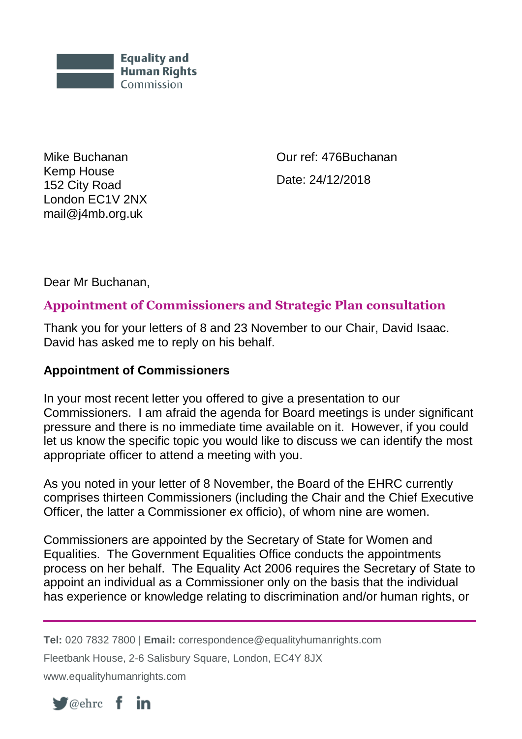

Mike Buchanan Kemp House 152 City Road London EC1V 2NX mail@j4mb.org.uk

Our ref: 476Buchanan Date: 24/12/2018

Dear Mr Buchanan,

## **Appointment of Commissioners and Strategic Plan consultation**

Thank you for your letters of 8 and 23 November to our Chair, David Isaac. David has asked me to reply on his behalf.

## **Appointment of Commissioners**

In your most recent letter you offered to give a presentation to our Commissioners. I am afraid the agenda for Board meetings is under significant pressure and there is no immediate time available on it. However, if you could let us know the specific topic you would like to discuss we can identify the most appropriate officer to attend a meeting with you.

As you noted in your letter of 8 November, the Board of the EHRC currently comprises thirteen Commissioners (including the Chair and the Chief Executive Officer, the latter a Commissioner ex officio), of whom nine are women.

Commissioners are appointed by the Secretary of State for Women and Equalities. The Government Equalities Office conducts the appointments process on her behalf. The Equality Act 2006 requires the Secretary of State to appoint an individual as a Commissioner only on the basis that the individual has experience or knowledge relating to discrimination and/or human rights, or

**Tel:** 020 7832 7800 | **Email:** correspondence@equalityhumanrights.com

Fleetbank House, 2-6 Salisbury Square, London, EC4Y 8JX

www.equalityhumanrights.com

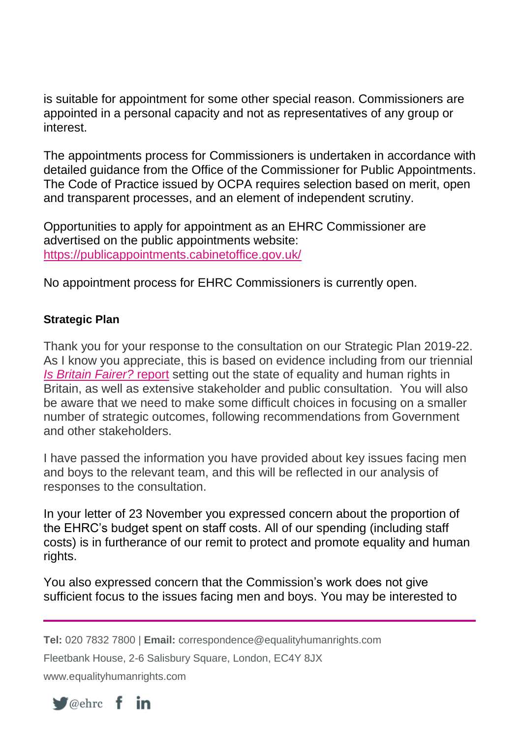is suitable for appointment for some other special reason. Commissioners are appointed in a personal capacity and not as representatives of any group or interest.

The appointments process for Commissioners is undertaken in accordance with detailed guidance from the Office of the Commissioner for Public Appointments. The Code of Practice issued by OCPA requires selection based on merit, open and transparent processes, and an element of independent scrutiny.

Opportunities to apply for appointment as an EHRC Commissioner are advertised on the public appointments website: <https://publicappointments.cabinetoffice.gov.uk/>

No appointment process for EHRC Commissioners is currently open.

## **Strategic Plan**

Thank you for your response to the consultation on our Strategic Plan 2019-22. As I know you appreciate, this is based on evidence including from our triennial *[Is Britain Fairer?](https://www.equalityhumanrights.com/en/publication-download/britain-fairer-2018)* report setting out the state of equality and human rights in Britain, as well as extensive stakeholder and public consultation. You will also be aware that we need to make some difficult choices in focusing on a smaller number of strategic outcomes, following recommendations from Government and other stakeholders.

I have passed the information you have provided about key issues facing men and boys to the relevant team, and this will be reflected in our analysis of responses to the consultation.

In your letter of 23 November you expressed concern about the proportion of the EHRC's budget spent on staff costs. All of our spending (including staff costs) is in furtherance of our remit to protect and promote equality and human rights.

You also expressed concern that the Commission's work does not give sufficient focus to the issues facing men and boys. You may be interested to

**Tel:** 020 7832 7800 | **Email:** correspondence@equalityhumanrights.com

Fleetbank House, 2-6 Salisbury Square, London, EC4Y 8JX

www.equalityhumanrights.com

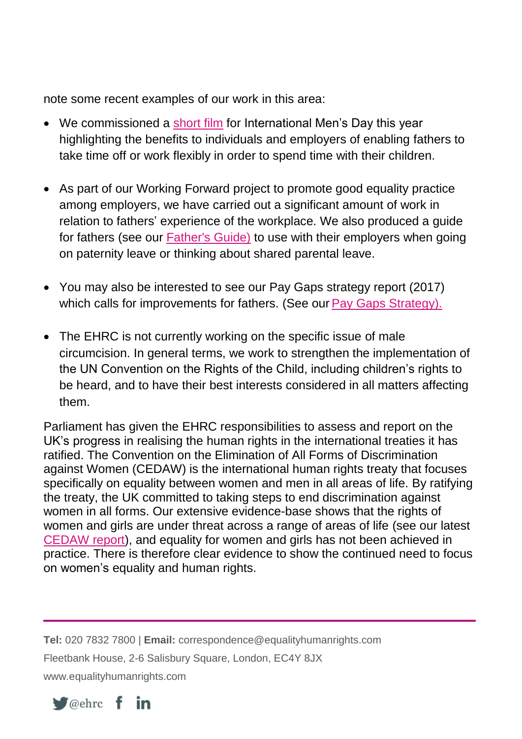note some recent examples of our work in this area:

- We commissioned a [short film](https://youtu.be/9ms_BozKKzs) for International Men's Day this year highlighting the benefits to individuals and employers of enabling fathers to take time off or work flexibly in order to spend time with their children.
- As part of our Working Forward project to promote good equality practice among employers, we have carried out a significant amount of work in relation to fathers' experience of the workplace. We also produced a guide for fathers (see our [Father's Guide\)](https://www.equalityhumanrights.com/en/advice-and-guidance/preparing-fatherhood-conversation-guide-fathers) to use with their employers when going on paternity leave or thinking about shared parental leave.
- You may also be interested to see our Pay Gaps strategy report (2017) which calls for improvements for fathers. (See our [Pay Gaps Strategy\)](https://equalityhumanrights.com/sites/default/files/pay-gaps-strategy-fair-opportunities-for-all.pdf).
- The EHRC is not currently working on the specific issue of male circumcision. In general terms, we work to strengthen the implementation of the UN Convention on the Rights of the Child, including children's rights to be heard, and to have their best interests considered in all matters affecting them.

Parliament has given the EHRC responsibilities to assess and report on the UK's progress in realising the human rights in the international treaties it has ratified. The Convention on the Elimination of All Forms of Discrimination against Women (CEDAW) is the international human rights treaty that focuses specifically on equality between women and men in all areas of life. By ratifying the treaty, the UK committed to taking steps to end discrimination against women in all forms. Our extensive evidence-base shows that the rights of women and girls are under threat across a range of areas of life (see our latest [CEDAW report\)](https://www.equalityhumanrights.com/en/publication-download/pressing-progress-women%E2%80%99s-rights-and-gender-equality-2018), and equality for women and girls has not been achieved in practice. There is therefore clear evidence to show the continued need to focus on women's equality and human rights.

**Tel:** 020 7832 7800 | **Email:** correspondence@equalityhumanrights.com Fleetbank House, 2-6 Salisbury Square, London, EC4Y 8JX www.equalityhumanrights.com